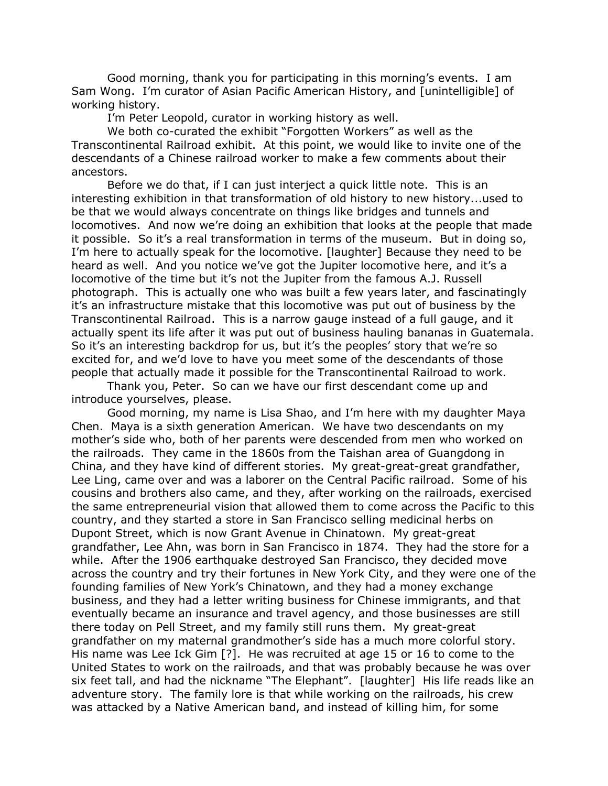Good morning, thank you for participating in this morning's events. I am Sam Wong. I'm curator of Asian Pacific American History, and [unintelligible] of working history.

I'm Peter Leopold, curator in working history as well.

We both co-curated the exhibit "Forgotten Workers" as well as the Transcontinental Railroad exhibit. At this point, we would like to invite one of the descendants of a Chinese railroad worker to make a few comments about their ancestors.

Before we do that, if I can just interject a quick little note. This is an interesting exhibition in that transformation of old history to new history...used to be that we would always concentrate on things like bridges and tunnels and locomotives. And now we're doing an exhibition that looks at the people that made it possible. So it's a real transformation in terms of the museum. But in doing so, I'm here to actually speak for the locomotive. [laughter] Because they need to be heard as well. And you notice we've got the Jupiter locomotive here, and it's a locomotive of the time but it's not the Jupiter from the famous A.J. Russell photograph. This is actually one who was built a few years later, and fascinatingly it's an infrastructure mistake that this locomotive was put out of business by the Transcontinental Railroad. This is a narrow gauge instead of a full gauge, and it actually spent its life after it was put out of business hauling bananas in Guatemala. So it's an interesting backdrop for us, but it's the peoples' story that we're so excited for, and we'd love to have you meet some of the descendants of those people that actually made it possible for the Transcontinental Railroad to work.

Thank you, Peter. So can we have our first descendant come up and introduce yourselves, please.

Good morning, my name is Lisa Shao, and I'm here with my daughter Maya Chen. Maya is a sixth generation American. We have two descendants on my mother's side who, both of her parents were descended from men who worked on the railroads. They came in the 1860s from the Taishan area of Guangdong in China, and they have kind of different stories. My great-great-great grandfather, Lee Ling, came over and was a laborer on the Central Pacific railroad. Some of his cousins and brothers also came, and they, after working on the railroads, exercised the same entrepreneurial vision that allowed them to come across the Pacific to this country, and they started a store in San Francisco selling medicinal herbs on Dupont Street, which is now Grant Avenue in Chinatown. My great-great grandfather, Lee Ahn, was born in San Francisco in 1874. They had the store for a while. After the 1906 earthquake destroyed San Francisco, they decided move across the country and try their fortunes in New York City, and they were one of the founding families of New York's Chinatown, and they had a money exchange business, and they had a letter writing business for Chinese immigrants, and that eventually became an insurance and travel agency, and those businesses are still there today on Pell Street, and my family still runs them. My great-great grandfather on my maternal grandmother's side has a much more colorful story. His name was Lee Ick Gim [?]. He was recruited at age 15 or 16 to come to the United States to work on the railroads, and that was probably because he was over six feet tall, and had the nickname "The Elephant". [laughter] His life reads like an adventure story. The family lore is that while working on the railroads, his crew was attacked by a Native American band, and instead of killing him, for some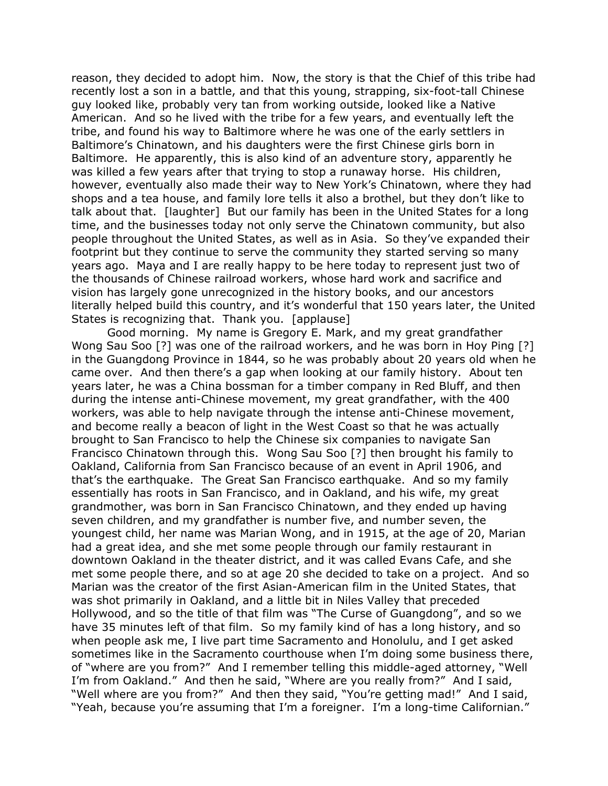reason, they decided to adopt him. Now, the story is that the Chief of this tribe had recently lost a son in a battle, and that this young, strapping, six-foot-tall Chinese guy looked like, probably very tan from working outside, looked like a Native American. And so he lived with the tribe for a few years, and eventually left the tribe, and found his way to Baltimore where he was one of the early settlers in Baltimore's Chinatown, and his daughters were the first Chinese girls born in Baltimore. He apparently, this is also kind of an adventure story, apparently he was killed a few years after that trying to stop a runaway horse. His children, however, eventually also made their way to New York's Chinatown, where they had shops and a tea house, and family lore tells it also a brothel, but they don't like to talk about that. [laughter] But our family has been in the United States for a long time, and the businesses today not only serve the Chinatown community, but also people throughout the United States, as well as in Asia. So they've expanded their footprint but they continue to serve the community they started serving so many years ago. Maya and I are really happy to be here today to represent just two of the thousands of Chinese railroad workers, whose hard work and sacrifice and vision has largely gone unrecognized in the history books, and our ancestors literally helped build this country, and it's wonderful that 150 years later, the United States is recognizing that. Thank you. [applause]

Good morning. My name is Gregory E. Mark, and my great grandfather Wong Sau Soo [?] was one of the railroad workers, and he was born in Hoy Ping [?] in the Guangdong Province in 1844, so he was probably about 20 years old when he came over. And then there's a gap when looking at our family history. About ten years later, he was a China bossman for a timber company in Red Bluff, and then during the intense anti-Chinese movement, my great grandfather, with the 400 workers, was able to help navigate through the intense anti-Chinese movement, and become really a beacon of light in the West Coast so that he was actually brought to San Francisco to help the Chinese six companies to navigate San Francisco Chinatown through this. Wong Sau Soo [?] then brought his family to Oakland, California from San Francisco because of an event in April 1906, and that's the earthquake. The Great San Francisco earthquake. And so my family essentially has roots in San Francisco, and in Oakland, and his wife, my great grandmother, was born in San Francisco Chinatown, and they ended up having seven children, and my grandfather is number five, and number seven, the youngest child, her name was Marian Wong, and in 1915, at the age of 20, Marian had a great idea, and she met some people through our family restaurant in downtown Oakland in the theater district, and it was called Evans Cafe, and she met some people there, and so at age 20 she decided to take on a project. And so Marian was the creator of the first Asian-American film in the United States, that was shot primarily in Oakland, and a little bit in Niles Valley that preceded Hollywood, and so the title of that film was "The Curse of Guangdong", and so we have 35 minutes left of that film. So my family kind of has a long history, and so when people ask me, I live part time Sacramento and Honolulu, and I get asked sometimes like in the Sacramento courthouse when I'm doing some business there, of "where are you from?" And I remember telling this middle-aged attorney, "Well I'm from Oakland." And then he said, "Where are you really from?" And I said, "Well where are you from?" And then they said, "You're getting mad!" And I said, "Yeah, because you're assuming that I'm a foreigner. I'm a long-time Californian."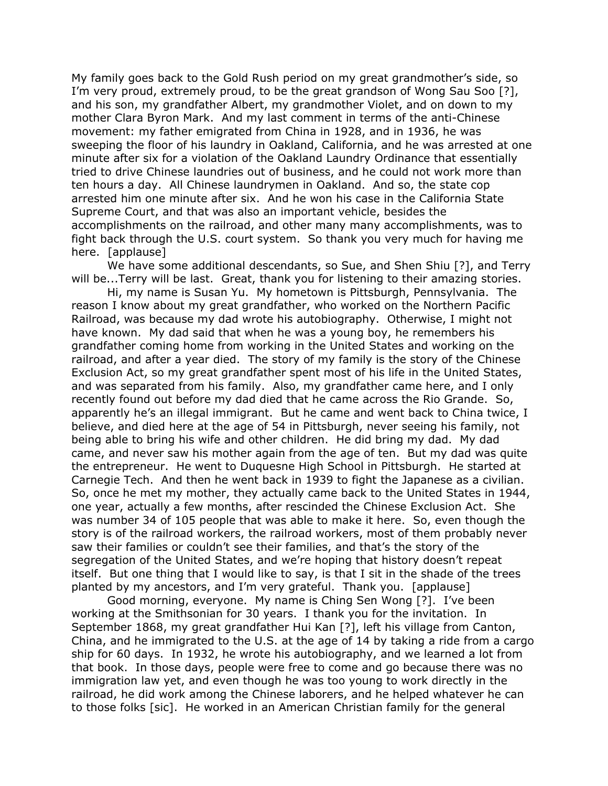My family goes back to the Gold Rush period on my great grandmother's side, so I'm very proud, extremely proud, to be the great grandson of Wong Sau Soo [?], and his son, my grandfather Albert, my grandmother Violet, and on down to my mother Clara Byron Mark. And my last comment in terms of the anti-Chinese movement: my father emigrated from China in 1928, and in 1936, he was sweeping the floor of his laundry in Oakland, California, and he was arrested at one minute after six for a violation of the Oakland Laundry Ordinance that essentially tried to drive Chinese laundries out of business, and he could not work more than ten hours a day. All Chinese laundrymen in Oakland. And so, the state cop arrested him one minute after six. And he won his case in the California State Supreme Court, and that was also an important vehicle, besides the accomplishments on the railroad, and other many many accomplishments, was to fight back through the U.S. court system. So thank you very much for having me here. [applause]

We have some additional descendants, so Sue, and Shen Shiu [?], and Terry will be...Terry will be last. Great, thank you for listening to their amazing stories.

Hi, my name is Susan Yu. My hometown is Pittsburgh, Pennsylvania. The reason I know about my great grandfather, who worked on the Northern Pacific Railroad, was because my dad wrote his autobiography. Otherwise, I might not have known. My dad said that when he was a young boy, he remembers his grandfather coming home from working in the United States and working on the railroad, and after a year died. The story of my family is the story of the Chinese Exclusion Act, so my great grandfather spent most of his life in the United States, and was separated from his family. Also, my grandfather came here, and I only recently found out before my dad died that he came across the Rio Grande. So, apparently he's an illegal immigrant. But he came and went back to China twice, I believe, and died here at the age of 54 in Pittsburgh, never seeing his family, not being able to bring his wife and other children. He did bring my dad. My dad came, and never saw his mother again from the age of ten. But my dad was quite the entrepreneur. He went to Duquesne High School in Pittsburgh. He started at Carnegie Tech. And then he went back in 1939 to fight the Japanese as a civilian. So, once he met my mother, they actually came back to the United States in 1944, one year, actually a few months, after rescinded the Chinese Exclusion Act. She was number 34 of 105 people that was able to make it here. So, even though the story is of the railroad workers, the railroad workers, most of them probably never saw their families or couldn't see their families, and that's the story of the segregation of the United States, and we're hoping that history doesn't repeat itself. But one thing that I would like to say, is that I sit in the shade of the trees planted by my ancestors, and I'm very grateful. Thank you. [applause]

Good morning, everyone. My name is Ching Sen Wong [?]. I've been working at the Smithsonian for 30 years. I thank you for the invitation. In September 1868, my great grandfather Hui Kan [?], left his village from Canton, China, and he immigrated to the U.S. at the age of 14 by taking a ride from a cargo ship for 60 days. In 1932, he wrote his autobiography, and we learned a lot from that book. In those days, people were free to come and go because there was no immigration law yet, and even though he was too young to work directly in the railroad, he did work among the Chinese laborers, and he helped whatever he can to those folks [sic]. He worked in an American Christian family for the general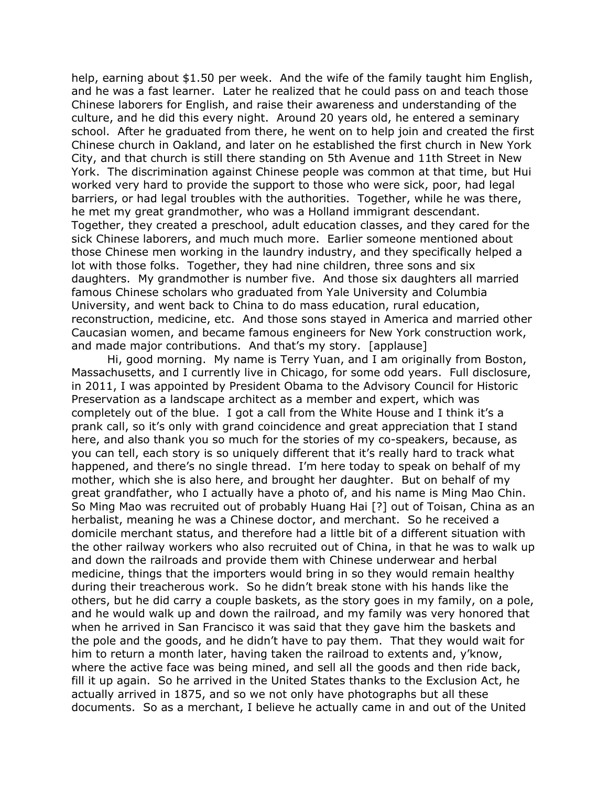help, earning about \$1.50 per week. And the wife of the family taught him English, and he was a fast learner. Later he realized that he could pass on and teach those Chinese laborers for English, and raise their awareness and understanding of the culture, and he did this every night. Around 20 years old, he entered a seminary school. After he graduated from there, he went on to help join and created the first Chinese church in Oakland, and later on he established the first church in New York City, and that church is still there standing on 5th Avenue and 11th Street in New York. The discrimination against Chinese people was common at that time, but Hui worked very hard to provide the support to those who were sick, poor, had legal barriers, or had legal troubles with the authorities. Together, while he was there, he met my great grandmother, who was a Holland immigrant descendant. Together, they created a preschool, adult education classes, and they cared for the sick Chinese laborers, and much much more. Earlier someone mentioned about those Chinese men working in the laundry industry, and they specifically helped a lot with those folks. Together, they had nine children, three sons and six daughters. My grandmother is number five. And those six daughters all married famous Chinese scholars who graduated from Yale University and Columbia University, and went back to China to do mass education, rural education, reconstruction, medicine, etc. And those sons stayed in America and married other Caucasian women, and became famous engineers for New York construction work, and made major contributions. And that's my story. [applause]

Hi, good morning. My name is Terry Yuan, and I am originally from Boston, Massachusetts, and I currently live in Chicago, for some odd years. Full disclosure, in 2011, I was appointed by President Obama to the Advisory Council for Historic Preservation as a landscape architect as a member and expert, which was completely out of the blue. I got a call from the White House and I think it's a prank call, so it's only with grand coincidence and great appreciation that I stand here, and also thank you so much for the stories of my co-speakers, because, as you can tell, each story is so uniquely different that it's really hard to track what happened, and there's no single thread. I'm here today to speak on behalf of my mother, which she is also here, and brought her daughter. But on behalf of my great grandfather, who I actually have a photo of, and his name is Ming Mao Chin. So Ming Mao was recruited out of probably Huang Hai [?] out of Toisan, China as an herbalist, meaning he was a Chinese doctor, and merchant. So he received a domicile merchant status, and therefore had a little bit of a different situation with the other railway workers who also recruited out of China, in that he was to walk up and down the railroads and provide them with Chinese underwear and herbal medicine, things that the importers would bring in so they would remain healthy during their treacherous work. So he didn't break stone with his hands like the others, but he did carry a couple baskets, as the story goes in my family, on a pole, and he would walk up and down the railroad, and my family was very honored that when he arrived in San Francisco it was said that they gave him the baskets and the pole and the goods, and he didn't have to pay them. That they would wait for him to return a month later, having taken the railroad to extents and, y'know, where the active face was being mined, and sell all the goods and then ride back, fill it up again. So he arrived in the United States thanks to the Exclusion Act, he actually arrived in 1875, and so we not only have photographs but all these documents. So as a merchant, I believe he actually came in and out of the United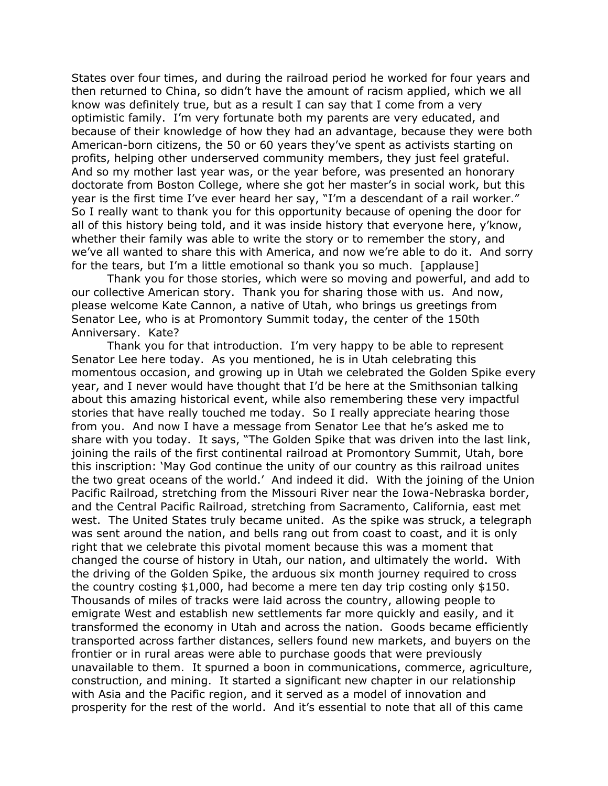States over four times, and during the railroad period he worked for four years and then returned to China, so didn't have the amount of racism applied, which we all know was definitely true, but as a result I can say that I come from a very optimistic family. I'm very fortunate both my parents are very educated, and because of their knowledge of how they had an advantage, because they were both American-born citizens, the 50 or 60 years they've spent as activists starting on profits, helping other underserved community members, they just feel grateful. And so my mother last year was, or the year before, was presented an honorary doctorate from Boston College, where she got her master's in social work, but this year is the first time I've ever heard her say, "I'm a descendant of a rail worker." So I really want to thank you for this opportunity because of opening the door for all of this history being told, and it was inside history that everyone here, y'know, whether their family was able to write the story or to remember the story, and we've all wanted to share this with America, and now we're able to do it. And sorry for the tears, but I'm a little emotional so thank you so much. [applause]

Thank you for those stories, which were so moving and powerful, and add to our collective American story. Thank you for sharing those with us. And now, please welcome Kate Cannon, a native of Utah, who brings us greetings from Senator Lee, who is at Promontory Summit today, the center of the 150th Anniversary. Kate?

Thank you for that introduction. I'm very happy to be able to represent Senator Lee here today. As you mentioned, he is in Utah celebrating this momentous occasion, and growing up in Utah we celebrated the Golden Spike every year, and I never would have thought that I'd be here at the Smithsonian talking about this amazing historical event, while also remembering these very impactful stories that have really touched me today. So I really appreciate hearing those from you. And now I have a message from Senator Lee that he's asked me to share with you today. It says, "The Golden Spike that was driven into the last link, joining the rails of the first continental railroad at Promontory Summit, Utah, bore this inscription: 'May God continue the unity of our country as this railroad unites the two great oceans of the world.' And indeed it did. With the joining of the Union Pacific Railroad, stretching from the Missouri River near the Iowa-Nebraska border, and the Central Pacific Railroad, stretching from Sacramento, California, east met west. The United States truly became united. As the spike was struck, a telegraph was sent around the nation, and bells rang out from coast to coast, and it is only right that we celebrate this pivotal moment because this was a moment that changed the course of history in Utah, our nation, and ultimately the world. With the driving of the Golden Spike, the arduous six month journey required to cross the country costing \$1,000, had become a mere ten day trip costing only \$150. Thousands of miles of tracks were laid across the country, allowing people to emigrate West and establish new settlements far more quickly and easily, and it transformed the economy in Utah and across the nation. Goods became efficiently transported across farther distances, sellers found new markets, and buyers on the frontier or in rural areas were able to purchase goods that were previously unavailable to them. It spurned a boon in communications, commerce, agriculture, construction, and mining. It started a significant new chapter in our relationship with Asia and the Pacific region, and it served as a model of innovation and prosperity for the rest of the world. And it's essential to note that all of this came